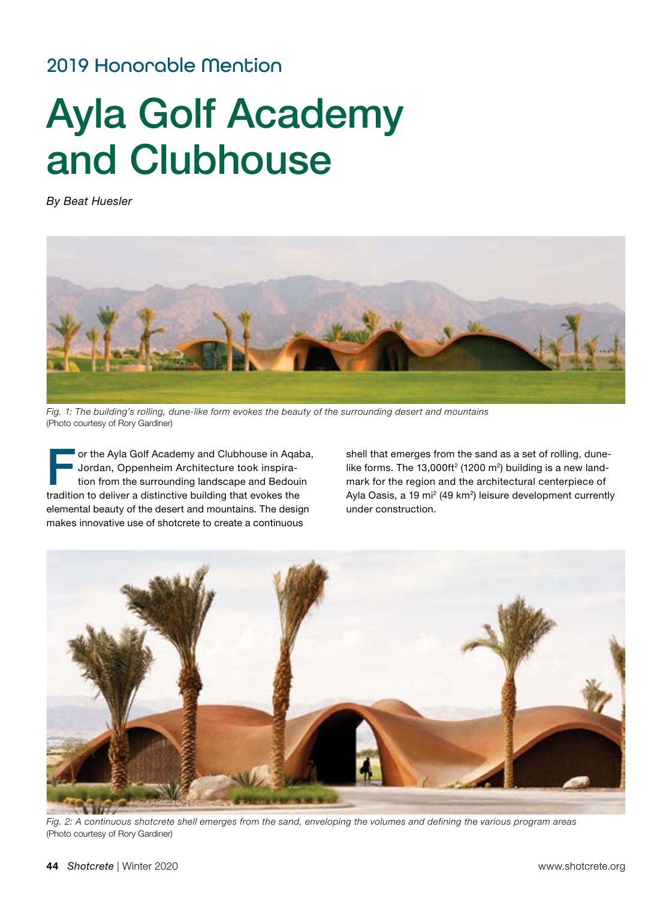## 2019 Honorable Mention

# Ayla Golf Academy and Clubhouse

*By Beat Huesler*



*Fig. 1: The building's rolling, dune-like form evokes the beauty of the surrounding desert and mountains*  (Photo courtesy of Rory Gardiner)

or the Ayla Golf Academy and Clubhouse in Aqaba, Jordan, Oppenheim Architecture took inspiration from the surrounding landscape and Bedouin tradition to deliver a distinctive building that evokes the elemental beauty of the desert and mountains. The design makes innovative use of shotcrete to create a continuous

shell that emerges from the sand as a set of rolling, dunelike forms. The 13,000ft<sup>2</sup> (1200 m<sup>2</sup>) building is a new landmark for the region and the architectural centerpiece of Ayla Oasis, a 19 mi<sup>2</sup> (49 km<sup>2</sup>) leisure development currently under construction.



*Fig. 2: A continuous shotcrete shell emerges from the sand, enveloping the volumes and defining the various program areas*  (Photo courtesy of Rory Gardiner)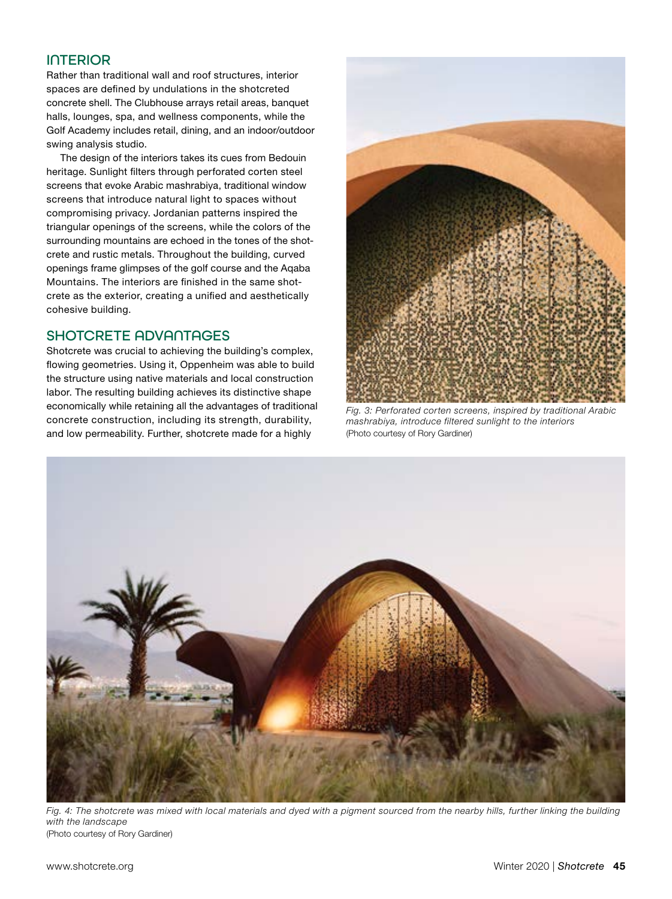### INTERIOR

Rather than traditional wall and roof structures, interior spaces are defined by undulations in the shotcreted concrete shell. The Clubhouse arrays retail areas, banquet halls, lounges, spa, and wellness components, while the Golf Academy includes retail, dining, and an indoor/outdoor swing analysis studio.

The design of the interiors takes its cues from Bedouin heritage. Sunlight filters through perforated corten steel screens that evoke Arabic mashrabiya, traditional window screens that introduce natural light to spaces without compromising privacy. Jordanian patterns inspired the triangular openings of the screens, while the colors of the surrounding mountains are echoed in the tones of the shotcrete and rustic metals. Throughout the building, curved openings frame glimpses of the golf course and the Aqaba Mountains. The interiors are finished in the same shotcrete as the exterior, creating a unified and aesthetically cohesive building.

#### SHOTCRETE ADVANTAGES

Shotcrete was crucial to achieving the building's complex, flowing geometries. Using it, Oppenheim was able to build the structure using native materials and local construction labor. The resulting building achieves its distinctive shape economically while retaining all the advantages of traditional concrete construction, including its strength, durability, and low permeability. Further, shotcrete made for a highly



*Fig. 3: Perforated corten screens, inspired by traditional Arabic mashrabiya, introduce filtered sunlight to the interiors*  (Photo courtesy of Rory Gardiner)



*Fig. 4: The shotcrete was mixed with local materials and dyed with a pigment sourced from the nearby hills, further linking the building with the landscape*  (Photo courtesy of Rory Gardiner)